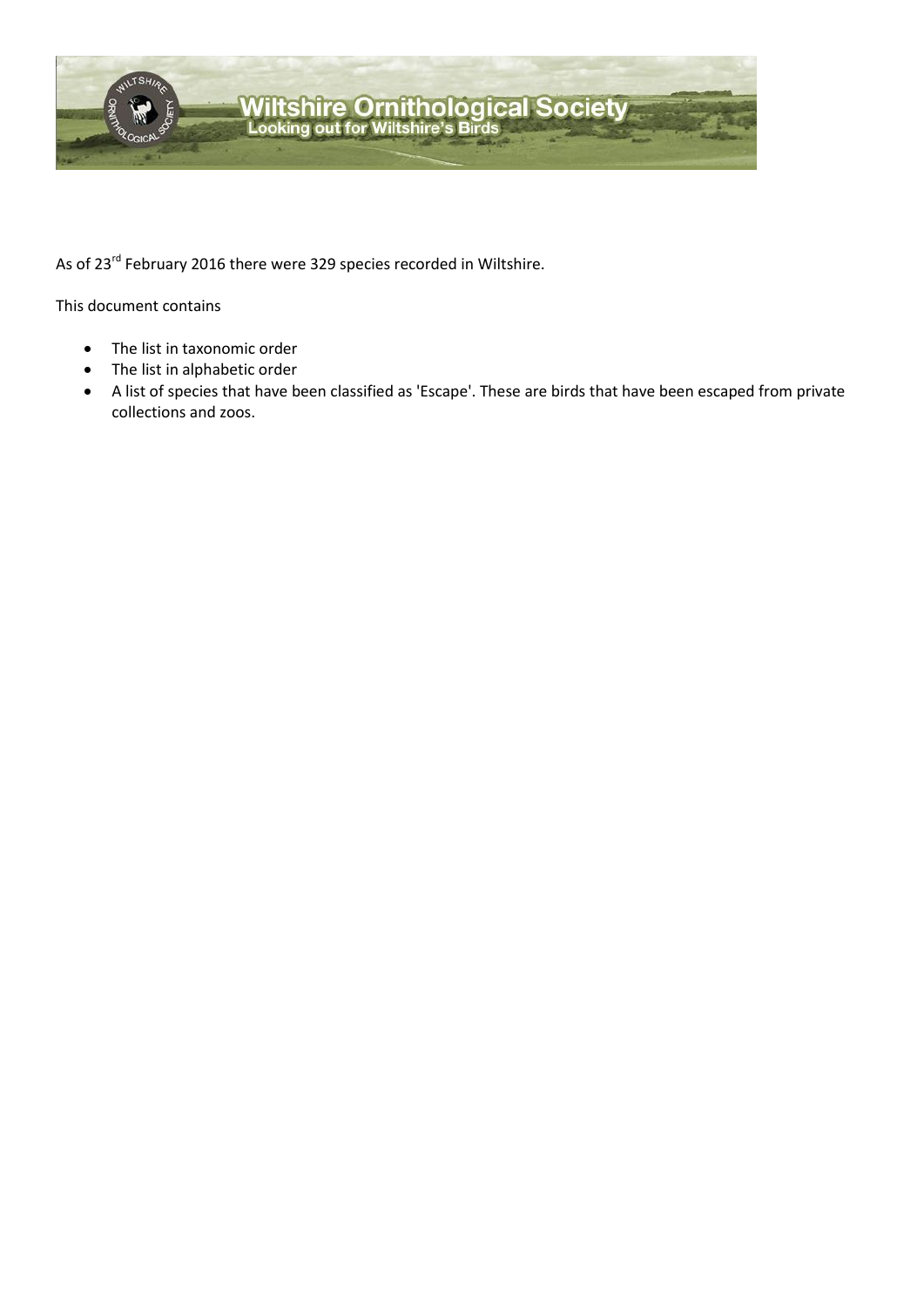

As of 23<sup>rd</sup> February 2016 there were 329 species recorded in Wiltshire.

This document contains

- The list in taxonomic order
- The list in alphabetic order
- A list of species that have been classified as 'Escape'. These are birds that have been escaped from private collections and zoos.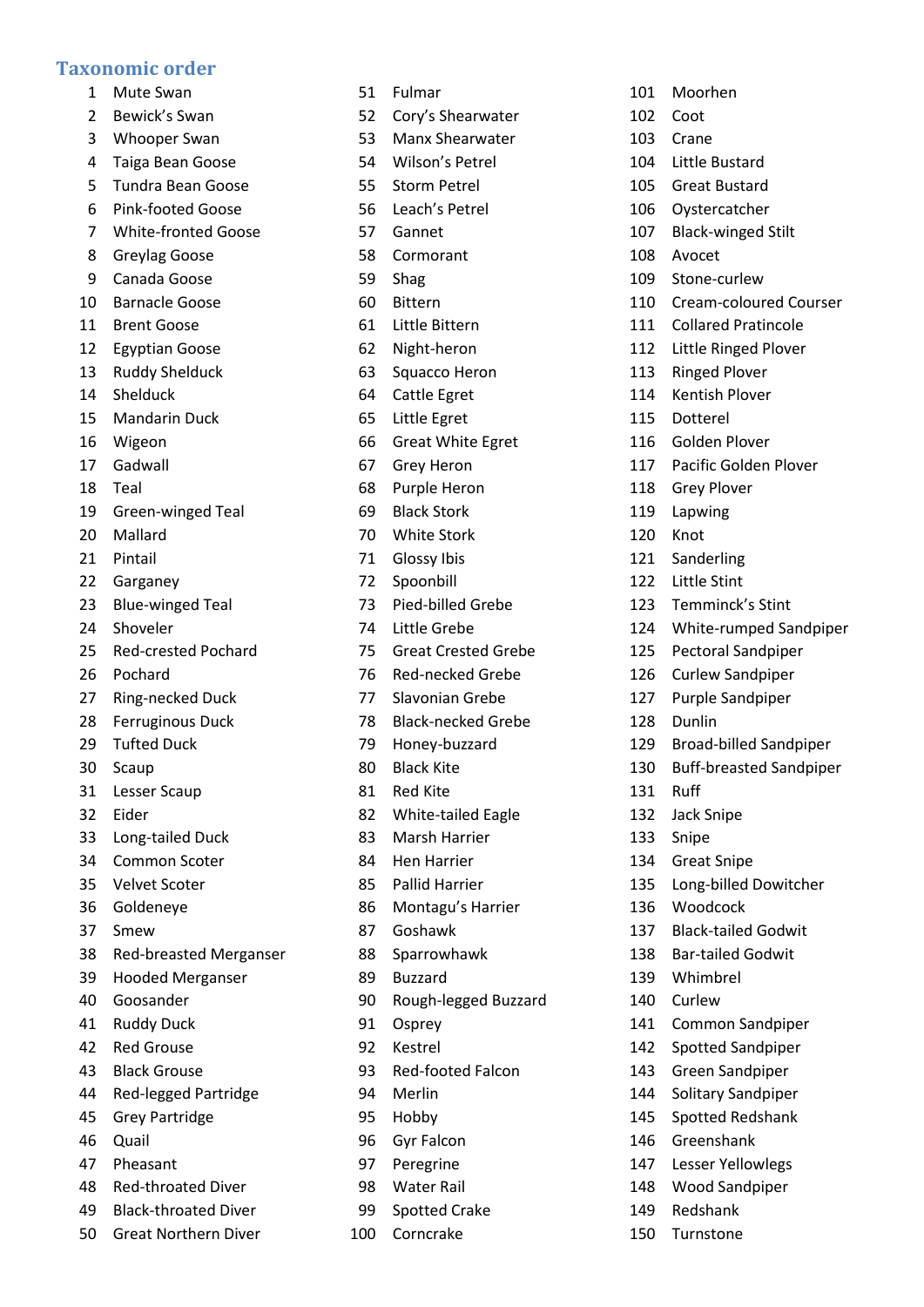## **Taxonomic order**

- Mute Swan
- Bewick's Swan
- Whooper Swan
- Taiga Bean Goose
- Tundra Bean Goose
- Pink-footed Goose
- White-fronted Goose
- Greylag Goose
- Canada Goose
- Barnacle Goose
- Brent Goose
- Egyptian Goose
- Ruddy Shelduck
- Shelduck
- Mandarin Duck
- Wigeon
- Gadwall
- Teal
- Green-winged Teal
- Mallard
- Pintail
- Garganey
- Blue-winged Teal
- Shoveler
- Red-crested Pochard
- Pochard
- Ring-necked Duck
- Ferruginous Duck
- Tufted Duck
- Scaup
- Lesser Scaup
- Eider
- Long-tailed Duck
- Common Scoter
- Velvet Scoter
- Goldeneye
- Smew
- Red-breasted Merganser
- Hooded Merganser
- Goosander
- Ruddy Duck
- Red Grouse
- Black Grouse
- Red-legged Partridge
- Grey Partridge
- Quail
- Pheasant
- Red-throated Diver
- Black-throated Diver
- Great Northern Diver
- Fulmar
- Cory's Shearwater
- Manx Shearwater

 Moorhen Coot Crane

 Little Bustard Great Bustard Oystercatcher Black-winged Stilt

Stone-curlew

Cream-coloured Courser

 Collared Pratincole Little Ringed Plover Ringed Plover Kentish Plover Dotterel Golden Plover

Pacific Golden Plover

Temminck's Stint

 Pectoral Sandpiper Curlew Sandpiper Purple Sandpiper

Dunlin

Ruff

 Jack Snipe Snipe

Great Snipe

Woodcock

 Whimbrel Curlew

 Greenshank Lesser Yellowlegs Wood Sandpiper

 Redshank Turnstone

White-rumped Sandpiper

 Broad-billed Sandpiper Buff-breasted Sandpiper

Long-billed Dowitcher

 Black-tailed Godwit Bar-tailed Godwit

 Common Sandpiper Spotted Sandpiper Green Sandpiper Solitary Sandpiper Spotted Redshank

 Grey Plover Lapwing Knot Sanderling Little Stint

Avocet

- Wilson's Petrel
- Storm Petrel
- Leach's Petrel
- Gannet
- Cormorant
- Shag
- Bittern
- Little Bittern
- Night-heron
- Squacco Heron
- Cattle Egret
- Little Egret
- Great White Egret
- Grey Heron
- Purple Heron
- Black Stork
- White Stork
- Glossy Ibis
- Spoonbill
- Pied-billed Grebe
- Little Grebe
- Great Crested Grebe
- Red-necked Grebe
- Slavonian Grebe
- Black-necked Grebe
- Honey-buzzard
- Black Kite
- Red Kite
- White-tailed Eagle
- Marsh Harrier
- Hen Harrier
- Pallid Harrier
- Montagu's Harrier
- Goshawk
- Sparrowhawk
- Buzzard
- Rough-legged Buzzard
- Osprey
- Kestrel
- Red-footed Falcon
- Merlin
- Hobby
- Gyr Falcon
- Peregrine
- Water Rail

Corncrake

Spotted Crake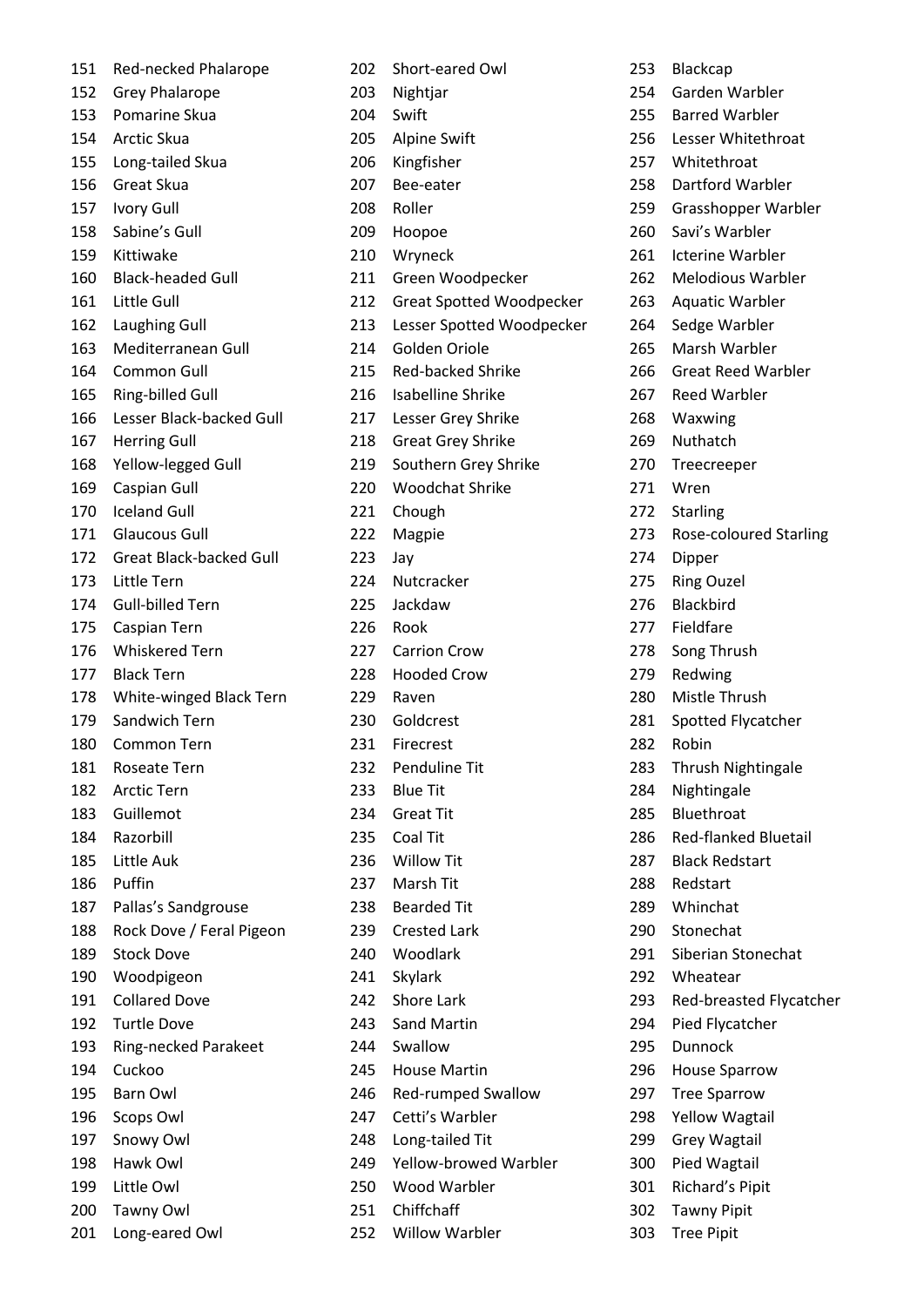| 151 | Red-necked Phalarope           | 202 | Short-eared Owl                 |
|-----|--------------------------------|-----|---------------------------------|
| 152 | <b>Grey Phalarope</b>          | 203 | Nightjar                        |
| 153 | Pomarine Skua                  | 204 | Swift                           |
| 154 | Arctic Skua                    | 205 | <b>Alpine Swift</b>             |
| 155 | Long-tailed Skua               | 206 | Kingfisher                      |
| 156 | Great Skua                     | 207 | Bee-eater                       |
| 157 | <b>Ivory Gull</b>              | 208 | Roller                          |
| 158 | Sabine's Gull                  | 209 | Hoopoe                          |
| 159 | Kittiwake                      | 210 | Wryneck                         |
| 160 | <b>Black-headed Gull</b>       | 211 | Green Woodpecker                |
| 161 | Little Gull                    | 212 | <b>Great Spotted Woodpecker</b> |
| 162 | Laughing Gull                  | 213 | Lesser Spotted Woodpecker       |
| 163 | Mediterranean Gull             | 214 | Golden Oriole                   |
| 164 | Common Gull                    | 215 | <b>Red-backed Shrike</b>        |
| 165 | Ring-billed Gull               | 216 | Isabelline Shrike               |
| 166 | Lesser Black-backed Gull       | 217 | Lesser Grey Shrike              |
| 167 | <b>Herring Gull</b>            | 218 | <b>Great Grey Shrike</b>        |
| 168 | Yellow-legged Gull             | 219 | Southern Grey Shrike            |
| 169 | Caspian Gull                   | 220 | <b>Woodchat Shrike</b>          |
| 170 | <b>Iceland Gull</b>            | 221 | Chough                          |
| 171 | <b>Glaucous Gull</b>           | 222 | Magpie                          |
| 172 | <b>Great Black-backed Gull</b> | 223 | Jay                             |
| 173 | Little Tern                    | 224 | Nutcracker                      |
| 174 | <b>Gull-billed Tern</b>        | 225 | Jackdaw                         |
| 175 | Caspian Tern                   | 226 | Rook                            |
| 176 | <b>Whiskered Tern</b>          | 227 | <b>Carrion Crow</b>             |
| 177 | <b>Black Tern</b>              | 228 | <b>Hooded Crow</b>              |
| 178 | White-winged Black Tern        | 229 | Raven                           |
| 179 | Sandwich Tern                  | 230 | Goldcrest                       |
| 180 | Common Tern                    | 231 | Firecrest                       |
| 181 | Roseate Tern                   | 232 | Penduline Tit                   |
| 182 | <b>Arctic Tern</b>             | 233 | <b>Blue Tit</b>                 |
| 183 | Guillemot                      | 234 | <b>Great Tit</b>                |
| 184 | Razorbill                      | 235 | Coal Tit                        |
| 185 | Little Auk                     | 236 | <b>Willow Tit</b>               |
| 186 | Puffin                         | 237 | Marsh Tit                       |
| 187 | Pallas's Sandgrouse            | 238 | <b>Bearded Tit</b>              |
| 188 | Rock Dove / Feral Pigeon       | 239 | <b>Crested Lark</b>             |
| 189 | <b>Stock Dove</b>              | 240 | Woodlark                        |
| 190 | Woodpigeon                     | 241 | Skylark                         |
| 191 | <b>Collared Dove</b>           | 242 | <b>Shore Lark</b>               |
| 192 | <b>Turtle Dove</b>             | 243 | <b>Sand Martin</b>              |
| 193 |                                | 244 | Swallow                         |
| 194 | Ring-necked Parakeet<br>Cuckoo | 245 | <b>House Martin</b>             |
|     |                                |     |                                 |
| 195 | <b>Barn Owl</b>                | 246 | Red-rumped Swallow              |
| 196 | Scops Owl                      | 247 | Cetti's Warbler                 |
| 197 | Snowy Owl                      | 248 | Long-tailed Tit                 |
| 198 | Hawk Owl                       | 249 | Yellow-browed Warbler           |
| 199 | Little Owl                     | 250 | Wood Warbler                    |
| 200 | Tawny Owl                      | 251 | Chiffchaff                      |
| 201 | Long-eared Owl                 |     | 252 Willow Warbler              |

 Blackcap Garden Warbler Barred Warbler Lesser Whitethroat Whitethroat Dartford Warbler Grasshopper Warbler Savi's Warbler Icterine Warbler Melodious Warbler Aquatic Warbler Sedge Warbler Marsh Warbler Great Reed Warbler Reed Warbler Waxwing Nuthatch Treecreeper Wren Starling Rose-coloured Starling Dipper Ring Ouzel Blackbird Fieldfare Song Thrush Redwing Mistle Thrush Spotted Flycatcher Robin Thrush Nightingale Nightingale Bluethroat Red-flanked Bluetail Black Redstart Redstart Whinchat Stonechat Siberian Stonechat Wheatear Red-breasted Flycatcher Pied Flycatcher Dunnock House Sparrow Tree Sparrow Yellow Wagtail Grey Wagtail Pied Wagtail Richard's Pipit Tawny Pipit Tree Pipit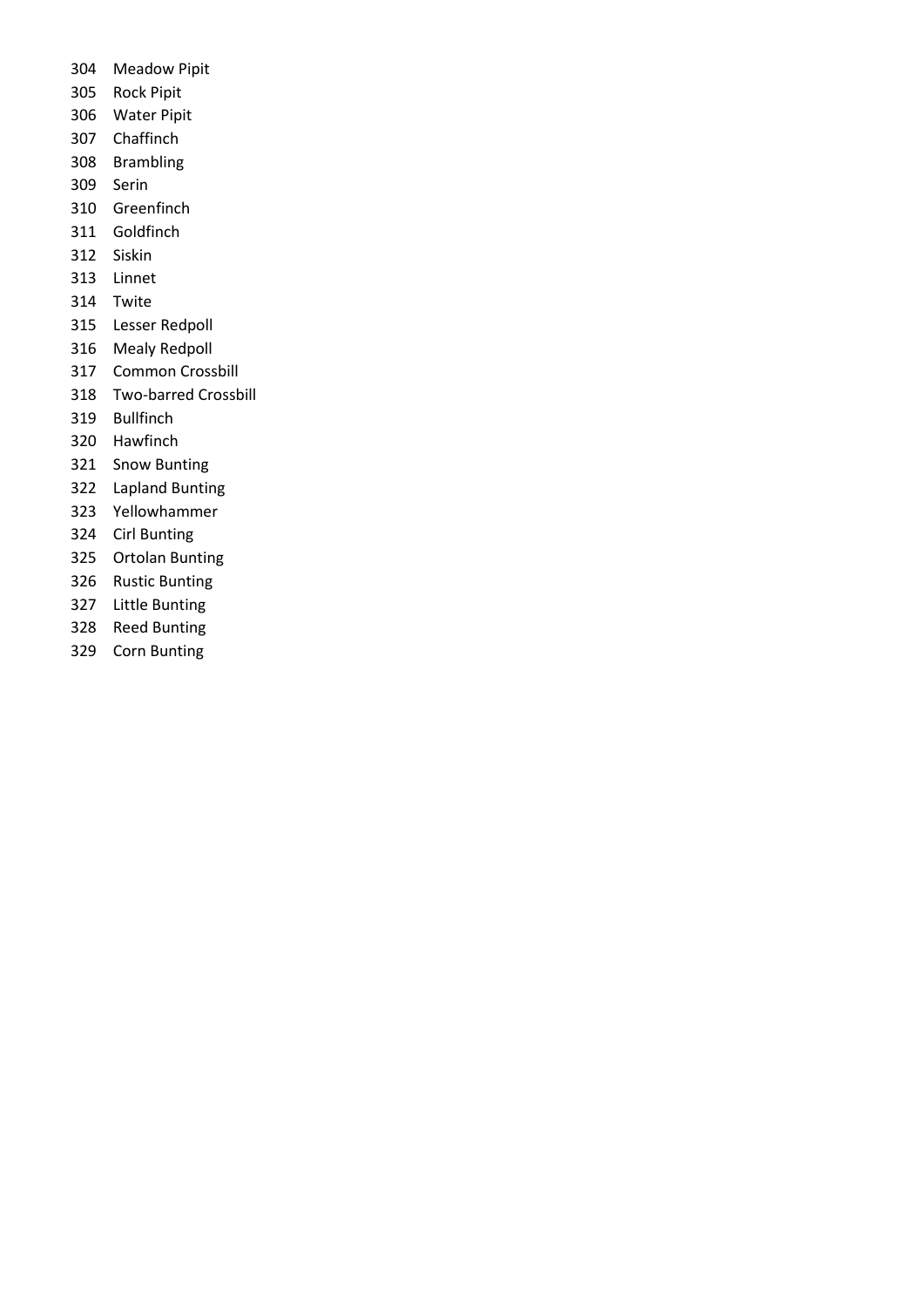- Meadow Pipit
- Rock Pipit
- Water Pipit
- Chaffinch
- Brambling
- Serin
- Greenfinch
- Goldfinch
- Siskin
- Linnet
- Twite
- Lesser Redpoll
- Mealy Redpoll
- Common Crossbill
- Two-barred Crossbill
- Bullfinch
- Hawfinch
- Snow Bunting
- Lapland Bunting
- Yellowhammer
- Cirl Bunting
- Ortolan Bunting
- Rustic Bunting
- Little Bunting
- Reed Bunting
- Corn Bunting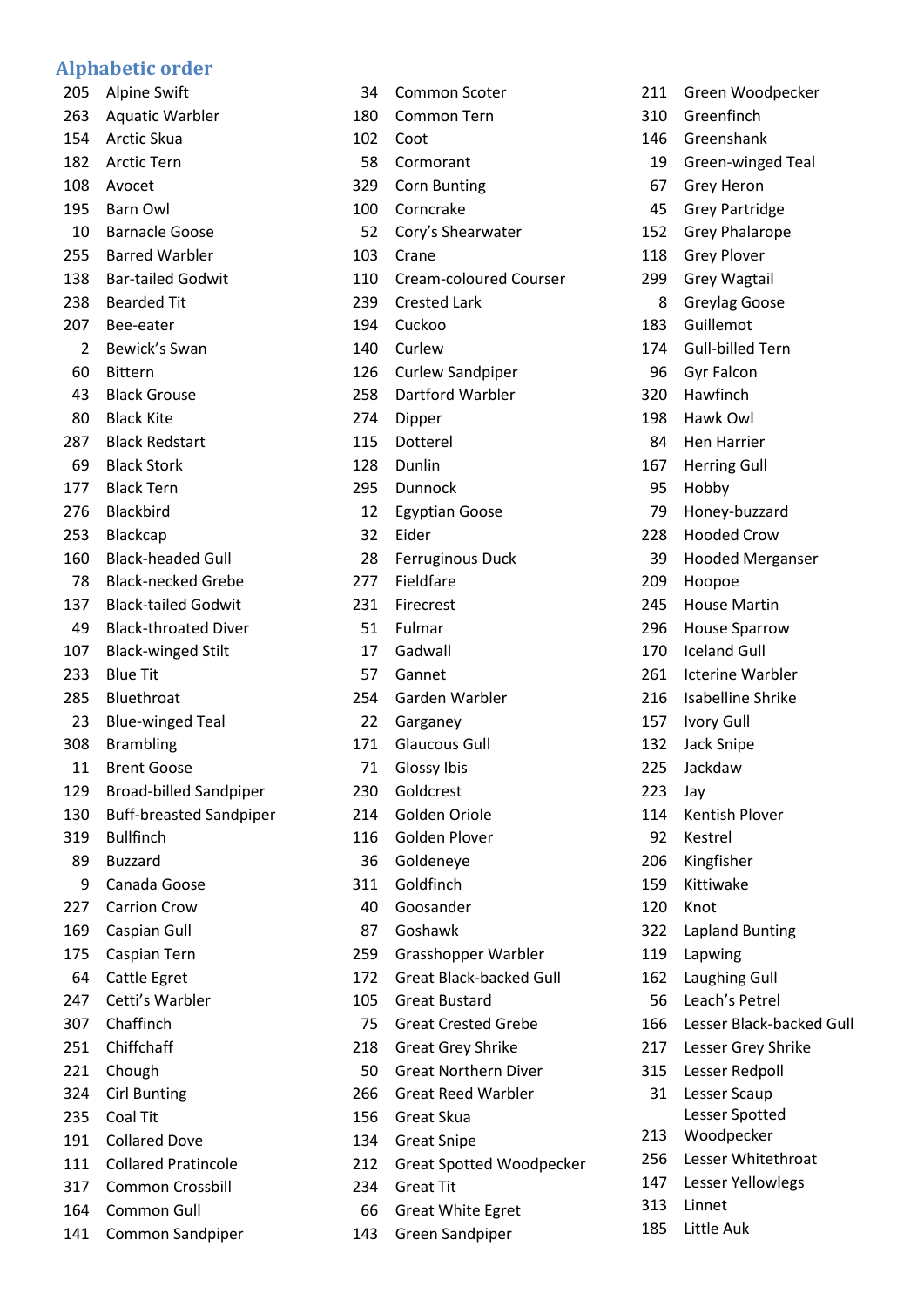## **Alphabetic order**

 Alpine Swift Aquatic Warbler Arctic Skua Arctic Tern Avocet Barn Owl Barnacle Goose Barred Warbler Bar-tailed Godwit Bearded Tit Bee-eater Bewick's Swan Bittern Black Grouse Black Kite Black Redstart Black Stork Black Tern Blackbird Blackcap Black-headed Gull Black-necked Grebe Black-tailed Godwit Black-throated Diver Black-winged Stilt Blue Tit Bluethroat Blue-winged Teal Brambling Brent Goose Broad-billed Sandpiper Buff-breasted Sandpiper Bullfinch Buzzard Canada Goose Carrion Crow Caspian Gull Caspian Tern Cattle Egret Cetti's Warbler Chaffinch Chiffchaff Chough Cirl Bunting Coal Tit Collared Dove Collared Pratincole Common Crossbill Common Gull

Common Sandpiper

| 34  | <b>Common Scoter</b>            |
|-----|---------------------------------|
| 180 | <b>Common Tern</b>              |
| 102 | Coot                            |
| 58  | Cormorant                       |
| 329 | <b>Corn Bunting</b>             |
| 100 | Corncrake                       |
| 52  | Cory's Shearwater               |
| 103 | Crane                           |
| 110 | Cream-coloured Courser          |
| 239 | <b>Crested Lark</b>             |
| 194 | Cuckoo                          |
| 140 | Curlew                          |
| 126 | <b>Curlew Sandpiper</b>         |
| 258 | Dartford Warbler                |
| 274 | Dipper                          |
| 115 | Dotterel                        |
| 128 | Dunlin                          |
| 295 | Dunnock                         |
| 12  | <b>Egyptian Goose</b>           |
| 32  | Eider                           |
| 28  | <b>Ferruginous Duck</b>         |
| 277 | Fieldfare                       |
| 231 | Firecrest                       |
| 51  | Fulmar                          |
| 17  | Gadwall                         |
| 57  | Gannet                          |
| 254 | Garden Warbler                  |
| 22  | Garganey                        |
| 171 | <b>Glaucous Gull</b>            |
| 71  | Glossy Ibis                     |
| 230 | Goldcrest                       |
| 214 | Golden Oriole                   |
| 116 | Golden Plover                   |
| 36  | Goldeneye                       |
| 311 | Goldfinch                       |
| 40  | Goosander                       |
| 87  | Goshawk                         |
| 259 | Grasshopper Warbler             |
| 172 | <b>Great Black-backed Gull</b>  |
| 105 | Great Bustard                   |
| 75  | <b>Great Crested Grebe</b>      |
| 218 | <b>Great Grey Shrike</b>        |
| 50  | <b>Great Northern Diver</b>     |
| 266 | <b>Great Reed Warbler</b>       |
| 156 | Great Skua                      |
| 134 | <b>Great Snipe</b>              |
| 212 | <b>Great Spotted Woodpecker</b> |
| 234 | <b>Great Tit</b>                |
| 66  | <b>Great White Egret</b>        |
| 143 | Green Sandpiper                 |
|     |                                 |

| 211 | Green Woodpecker         |
|-----|--------------------------|
| 310 | Greenfinch               |
| 146 | Greenshank               |
| 19  | Green-winged Teal        |
| 67  | <b>Grey Heron</b>        |
| 45  | <b>Grey Partridge</b>    |
| 152 | <b>Grey Phalarope</b>    |
| 118 | <b>Grey Plover</b>       |
| 299 | <b>Grey Wagtail</b>      |
| 8   | Greylag Goose            |
| 183 | Guillemot                |
| 174 | <b>Gull-billed Tern</b>  |
| 96  | <b>Gyr Falcon</b>        |
| 320 | Hawfinch                 |
| 198 | Hawk Owl                 |
| 84  | <b>Hen Harrier</b>       |
| 167 | <b>Herring Gull</b>      |
| 95  | Hobby                    |
| 79  | Honey-buzzard            |
| 228 | <b>Hooded Crow</b>       |
| 39  | <b>Hooded Merganser</b>  |
| 209 | Hoopoe                   |
| 245 | <b>House Martin</b>      |
| 296 | <b>House Sparrow</b>     |
| 170 | <b>Iceland Gull</b>      |
| 261 | <b>Icterine Warbler</b>  |
| 216 | <b>Isabelline Shrike</b> |
| 157 | Ivory Gull               |
| 132 | <b>Jack Snipe</b>        |
| 225 | Jackdaw                  |
| 223 | Jay                      |
| 114 | Kentish Plover           |
| 92  | Kestrel                  |
| 206 | Kingfisher               |
| 159 | Kittiwake                |
| 120 | Knot                     |
| 322 | <b>Lapland Bunting</b>   |
| 119 | Lapwing                  |
| 162 | <b>Laughing Gull</b>     |
| 56  | Leach's Petrel           |
| 166 | Lesser Black-backed Gull |
| 217 | Lesser Grey Shrike       |
| 315 | Lesser Redpoll           |
| 31  | Lesser Scaup             |
|     | Lesser Spotted           |
| 213 | Woodpecker               |
| 256 | Lesser Whitethroat       |
| 147 | Lesser Yellowlegs        |
| 313 | Linnet                   |
| 185 | Little Auk               |
|     |                          |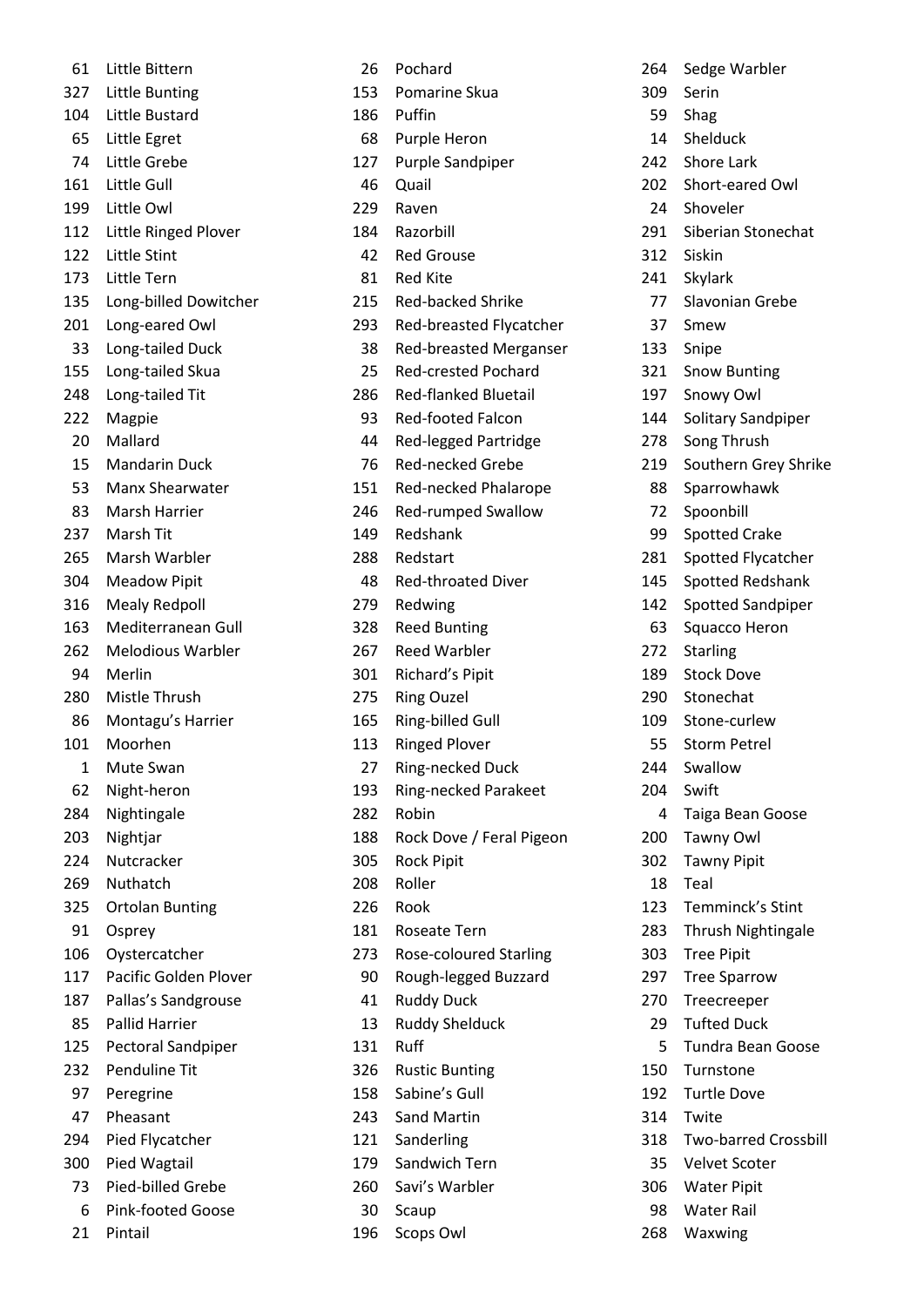| 61  | Little Bittern           |
|-----|--------------------------|
| 327 | Little Bunting           |
| 104 | Little Bustard           |
| 65  | Little Egret             |
| 74  | Little Grebe             |
| 161 | Little Gull              |
| 199 | Little Owl               |
| 112 | Little Ringed Plover     |
| 122 | Little Stint             |
| 173 | Little Tern              |
| 135 | Long-billed Dowitcher    |
| 201 | Long-eared Owl           |
| 33  | Long-tailed Duck         |
| 155 | Long-tailed Skua         |
| 248 | Long-tailed Tit          |
| 222 | Magpie                   |
| 20  | Mallard                  |
| 15  | <b>Mandarin Duck</b>     |
| 53  | Manx Shearwater          |
| 83  | Marsh Harrier            |
| 237 | Marsh Tit                |
| 265 | Marsh Warbler            |
| 304 | <b>Meadow Pipit</b>      |
| 316 | <b>Mealy Redpoll</b>     |
| 163 | Mediterranean Gull       |
| 262 | <b>Melodious Warbler</b> |
| 94  | Merlin                   |
| 280 | Mistle Thrush            |
| 86  | Montagu's Harrier        |
| 101 | Moorhen                  |
| 1   | Mute Swan                |
| 62  | Night-heron              |
| 284 | Nightingale              |
| 203 | Nightjar                 |
| 224 | Nutcracker               |
| 269 | Nuthatch                 |
| 325 | <b>Ortolan Bunting</b>   |
| 91  | Osprey                   |
| 106 | Oystercatcher            |
| 117 | Pacific Golden Plover    |
| 187 | Pallas's Sandgrouse      |
| 85  | <b>Pallid Harrier</b>    |
| 125 | Pectoral Sandpiper       |
| 232 | Penduline Tit            |
| 97  | Peregrine                |
| 47  | Pheasant                 |
| 294 | Pied Flycatcher          |
| 300 | Pied Wagtail             |
| 73  | Pied-billed Grebe        |
| 6   | <b>Pink-footed Goose</b> |
| 21  | Pintail                  |

| 26         | Pochard                       |
|------------|-------------------------------|
| 153        | Pomarine Skua                 |
| 186        | Puffin                        |
| 68         | <b>Purple Heron</b>           |
| 127        | Purple Sandpiper              |
| 46         | Quail                         |
| 229        | Raven                         |
| 184        | Razorbill                     |
| 42         | <b>Red Grouse</b>             |
| 81         | Red Kite                      |
| 215        | <b>Red-backed Shrike</b>      |
| 293        | Red-breasted Flycatcher       |
| 38         | <b>Red-breasted Merganser</b> |
| 25         | <b>Red-crested Pochard</b>    |
| 286        | <b>Red-flanked Bluetail</b>   |
| 93         | <b>Red-footed Falcon</b>      |
| 44         | <b>Red-legged Partridge</b>   |
| 76         | <b>Red-necked Grebe</b>       |
| 151        | Red-necked Phalarope          |
| 246        | <b>Red-rumped Swallow</b>     |
| 149        | Redshank                      |
| 288        | Redstart                      |
| 48         | <b>Red-throated Diver</b>     |
| 279        | Redwing                       |
| 328        | <b>Reed Bunting</b>           |
| 267        | <b>Reed Warbler</b>           |
| 301        | Richard's Pipit               |
| 275        | <b>Ring Ouzel</b>             |
| 165        | Ring-billed Gull              |
| 113        | <b>Ringed Plover</b>          |
| 27         | Ring-necked Duck              |
| 193        | <b>Ring-necked Parakeet</b>   |
| 282        | Robin                         |
|            |                               |
| 188<br>305 | Rock Dove / Feral Pigeon      |
| 208        | <b>Rock Pipit</b><br>Roller   |
|            |                               |
| 226        | Rook                          |
| 181        | <b>Roseate Tern</b>           |
| 273        | Rose-coloured Starling        |
| 90         | Rough-legged Buzzard          |
| 41         | <b>Ruddy Duck</b>             |
| 13         | <b>Ruddy Shelduck</b>         |
| 131        | Ruff                          |
| 326        | <b>Rustic Bunting</b>         |
| 158        | Sabine's Gull                 |
| 243        | <b>Sand Martin</b>            |
| 121        | Sanderling                    |
| 179        | Sandwich Tern                 |
| 260        | Savi's Warbler                |
| 30         | Scaup                         |
| 196        | Scops Owl                     |

 Sedge Warbler Serin Shag Shelduck Shore Lark Short-eared Owl Shoveler Siberian Stonechat Siskin Skylark Slavonian Grebe Smew Snipe Snow Bunting Snowy Owl Solitary Sandpiper Song Thrush Southern Grey Shrike Sparrowhawk Spoonbill Spotted Crake Spotted Flycatcher Spotted Redshank Spotted Sandpiper Squacco Heron Starling Stock Dove Stonechat Stone-curlew Storm Petrel Swallow Swift Taiga Bean Goose Tawny Owl Tawny Pipit Teal Temminck's Stint Thrush Nightingale Tree Pipit Tree Sparrow Treecreeper Tufted Duck Tundra Bean Goose Turnstone Turtle Dove Twite Two-barred Crossbill Velvet Scoter Water Pipit Water Rail Waxwing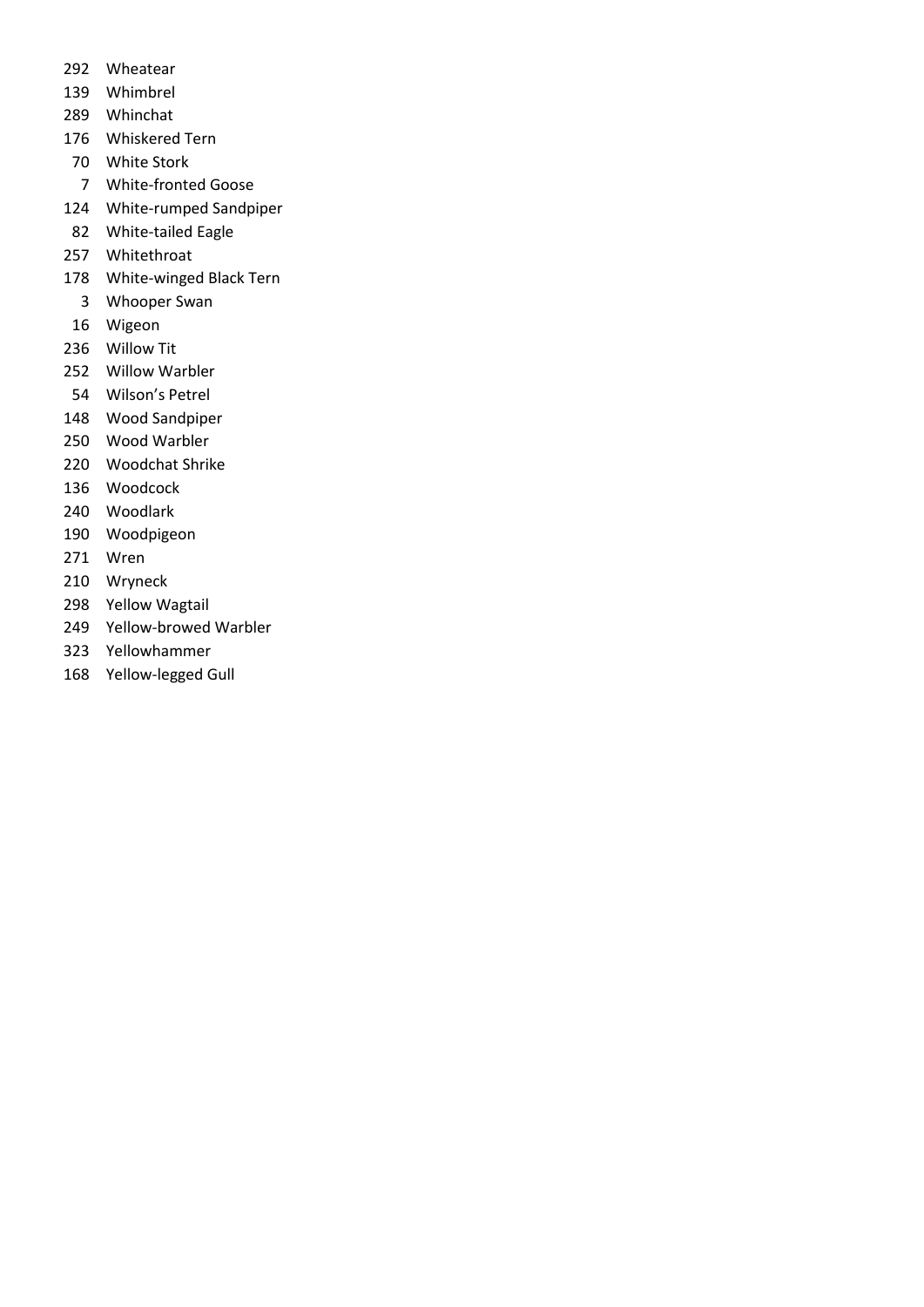- Wheatear
- Whimbrel
- Whinchat
- Whiskered Tern
- White Stork
- White-fronted Goose
- White-rumped Sandpiper
- White-tailed Eagle
- Whitethroat
- White-winged Black Tern
	- Whooper Swan
- Wigeon
- Willow Tit
- Willow Warbler
- Wilson's Petrel
- Wood Sandpiper
- Wood Warbler
- Woodchat Shrike
- Woodcock
- Woodlark
- Woodpigeon
- Wren
- Wryneck
- Yellow Wagtail
- Yellow-browed Warbler
- Yellowhammer
- Yellow-legged Gull